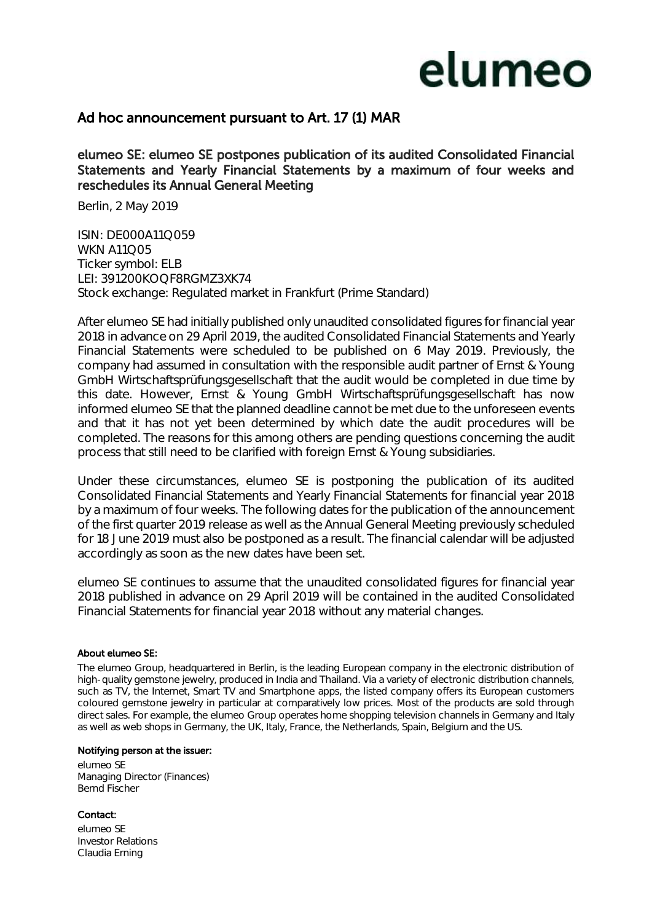# elumeo

## Ad hoc announcement pursuant to Art. 17 (1) MAR

elumeo SE: elumeo SE postpones publication of its audited Consolidated Financial Statements and Yearly Financial Statements by a maximum of four weeks and reschedules its Annual General Meeting

Berlin, 2 May 2019

ISIN: DE000A11Q059 **WKN A11005** Ticker symbol: ELB LEI: 391200KOQF8RGMZ3XK74 Stock exchange: Regulated market in Frankfurt (Prime Standard)

After elumeo SE had initially published only unaudited consolidated figures for financial year 2018 in advance on 29 April 2019, the audited Consolidated Financial Statements and Yearly Financial Statements were scheduled to be published on 6 May 2019. Previously, the company had assumed in consultation with the responsible audit partner of Ernst & Young GmbH Wirtschaftsprüfungsgesellschaft that the audit would be completed in due time by this date. However, Ernst & Young GmbH Wirtschaftsprüfungsgesellschaft has now informed elumeo SE that the planned deadline cannot be met due to the unforeseen events and that it has not yet been determined by which date the audit procedures will be completed. The reasons for this among others are pending questions concerning the audit process that still need to be clarified with foreign Ernst & Young subsidiaries.

Under these circumstances, elumeo SE is postponing the publication of its audited Consolidated Financial Statements and Yearly Financial Statements for financial year 2018 by a maximum of four weeks. The following dates for the publication of the announcement of the first quarter 2019 release as well as the Annual General Meeting previously scheduled for 18 June 2019 must also be postponed as a result. The financial calendar will be adjusted accordingly as soon as the new dates have been set.

elumeo SE continues to assume that the unaudited consolidated figures for financial year 2018 published in advance on 29 April 2019 will be contained in the audited Consolidated Financial Statements for financial year 2018 without any material changes.

### About elumeo SE:

The elumeo Group, headquartered in Berlin, is the leading European company in the electronic distribution of high-quality gemstone jewelry, produced in India and Thailand. Via a variety of electronic distribution channels, such as TV, the Internet, Smart TV and Smartphone apps, the listed company offers its European customers coloured gemstone jewelry in particular at comparatively low prices. Most of the products are sold through direct sales. For example, the elumeo Group operates home shopping television channels in Germany and Italy as well as web shops in Germany, the UK, Italy, France, the Netherlands, Spain, Belgium and the US.

#### Notifying person at the issuer:

elumeo SE Managing Director (Finances) Bernd Fischer

### Contact:

elumeo SE Investor Relations Claudia Erning